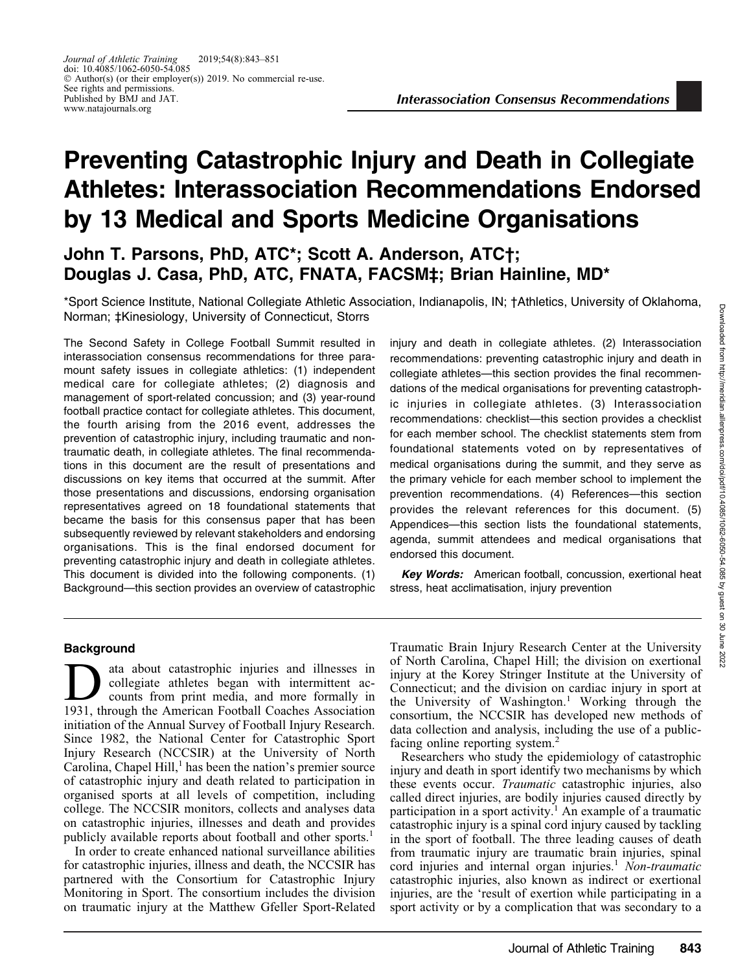# Preventing Catastrophic Injury and Death in Collegiate Athletes: Interassociation Recommendations Endorsed by 13 Medical and Sports Medicine Organisations

## John T. Parsons, PhD, ATC\*; Scott A. Anderson, ATC†; Douglas J. Casa, PhD, ATC, FNATA, FACSM‡; Brian Hainline, MD\*

\*Sport Science Institute, National Collegiate Athletic Association, Indianapolis, IN; †Athletics, University of Oklahoma, Norman; ‡Kinesiology, University of Connecticut, Storrs

The Second Safety in College Football Summit resulted in interassociation consensus recommendations for three paramount safety issues in collegiate athletics: (1) independent medical care for collegiate athletes; (2) diagnosis and management of sport-related concussion; and (3) year-round football practice contact for collegiate athletes. This document, the fourth arising from the 2016 event, addresses the prevention of catastrophic injury, including traumatic and nontraumatic death, in collegiate athletes. The final recommendations in this document are the result of presentations and discussions on key items that occurred at the summit. After those presentations and discussions, endorsing organisation representatives agreed on 18 foundational statements that became the basis for this consensus paper that has been subsequently reviewed by relevant stakeholders and endorsing organisations. This is the final endorsed document for preventing catastrophic injury and death in collegiate athletes. This document is divided into the following components. (1) Background—this section provides an overview of catastrophic injury and death in collegiate athletes. (2) Interassociation recommendations: preventing catastrophic injury and death in collegiate athletes—this section provides the final recommendations of the medical organisations for preventing catastrophic injuries in collegiate athletes. (3) Interassociation recommendations: checklist—this section provides a checklist for each member school. The checklist statements stem from foundational statements voted on by representatives of medical organisations during the summit, and they serve as the primary vehicle for each member school to implement the prevention recommendations. (4) References—this section provides the relevant references for this document. (5) Appendices—this section lists the foundational statements, agenda, summit attendees and medical organisations that endorsed this document.

Key Words: American football, concussion, exertional heat stress, heat acclimatisation, injury prevention

## **Background**

**10** at about catastrophic injuries and illnesses in collegiate athletes began with intermittent accounts from print media, and more formally in 1931 through the American Football Coaches Association collegiate athletes began with intermittent ac-1931, through the American Football Coaches Association initiation of the Annual Survey of Football Injury Research. Since 1982, the National Center for Catastrophic Sport Injury Research (NCCSIR) at the University of North Carolina, Chapel Hill, $<sup>1</sup>$  has been the nation's premier source</sup> of catastrophic injury and death related to participation in organised sports at all levels of competition, including college. The NCCSIR monitors, collects and analyses data on catastrophic injuries, illnesses and death and provides publicly available reports about football and other sports.<sup>1</sup>

In order to create enhanced national surveillance abilities for catastrophic injuries, illness and death, the NCCSIR has partnered with the Consortium for Catastrophic Injury Monitoring in Sport. The consortium includes the division on traumatic injury at the Matthew Gfeller Sport-Related Traumatic Brain Injury Research Center at the University of North Carolina, Chapel Hill; the division on exertional injury at the Korey Stringer Institute at the University of Connecticut; and the division on cardiac injury in sport at the University of Washington.<sup>1</sup> Working through the consortium, the NCCSIR has developed new methods of data collection and analysis, including the use of a publicfacing online reporting system.<sup>2</sup>

Researchers who study the epidemiology of catastrophic injury and death in sport identify two mechanisms by which these events occur. Traumatic catastrophic injuries, also called direct injuries, are bodily injuries caused directly by participation in a sport activity.<sup>1</sup> An example of a traumatic catastrophic injury is a spinal cord injury caused by tackling in the sport of football. The three leading causes of death from traumatic injury are traumatic brain injuries, spinal cord injuries and internal organ injuries.<sup>1</sup> Non-traumatic catastrophic injuries, also known as indirect or exertional injuries, are the 'result of exertion while participating in a sport activity or by a complication that was secondary to a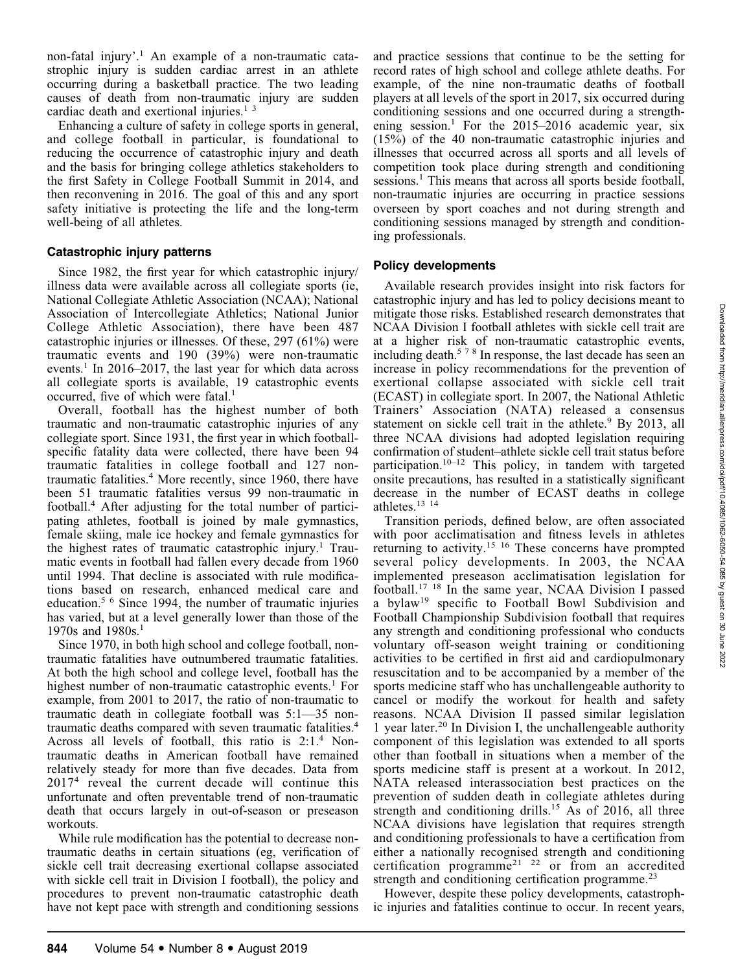non-fatal injury'.<sup>1</sup> An example of a non-traumatic catastrophic injury is sudden cardiac arrest in an athlete occurring during a basketball practice. The two leading causes of death from non-traumatic injury are sudden cardiac death and exertional injuries.<sup>13</sup>

Enhancing a culture of safety in college sports in general, and college football in particular, is foundational to reducing the occurrence of catastrophic injury and death and the basis for bringing college athletics stakeholders to the first Safety in College Football Summit in 2014, and then reconvening in 2016. The goal of this and any sport safety initiative is protecting the life and the long-term well-being of all athletes.

## Catastrophic injury patterns

Since 1982, the first year for which catastrophic injury/ illness data were available across all collegiate sports (ie, National Collegiate Athletic Association (NCAA); National Association of Intercollegiate Athletics; National Junior College Athletic Association), there have been 487 catastrophic injuries or illnesses. Of these, 297 (61%) were traumatic events and 190 (39%) were non-traumatic events.<sup>1</sup> In 2016–2017, the last year for which data across all collegiate sports is available, 19 catastrophic events occurred, five of which were fatal.<sup>1</sup>

Overall, football has the highest number of both traumatic and non-traumatic catastrophic injuries of any collegiate sport. Since 1931, the first year in which footballspecific fatality data were collected, there have been 94 traumatic fatalities in college football and 127 nontraumatic fatalities.<sup>4</sup> More recently, since 1960, there have been 51 traumatic fatalities versus 99 non-traumatic in football.4 After adjusting for the total number of participating athletes, football is joined by male gymnastics, female skiing, male ice hockey and female gymnastics for the highest rates of traumatic catastrophic injury.<sup>1</sup> Traumatic events in football had fallen every decade from 1960 until 1994. That decline is associated with rule modifications based on research, enhanced medical care and education.5 6 Since 1994, the number of traumatic injuries has varied, but at a level generally lower than those of the 1970s and  $1980s$ <sup>1</sup>

Since 1970, in both high school and college football, nontraumatic fatalities have outnumbered traumatic fatalities. At both the high school and college level, football has the highest number of non-traumatic catastrophic events.<sup>1</sup> For example, from 2001 to 2017, the ratio of non-traumatic to traumatic death in collegiate football was 5:1—35 nontraumatic deaths compared with seven traumatic fatalities.4 Across all levels of football, this ratio is 2:1.4 Nontraumatic deaths in American football have remained relatively steady for more than five decades. Data from 2017<sup>4</sup> reveal the current decade will continue this unfortunate and often preventable trend of non-traumatic death that occurs largely in out-of-season or preseason workouts.

While rule modification has the potential to decrease nontraumatic deaths in certain situations (eg, verification of sickle cell trait decreasing exertional collapse associated with sickle cell trait in Division I football), the policy and procedures to prevent non-traumatic catastrophic death have not kept pace with strength and conditioning sessions

and practice sessions that continue to be the setting for record rates of high school and college athlete deaths. For example, of the nine non-traumatic deaths of football players at all levels of the sport in 2017, six occurred during conditioning sessions and one occurred during a strengthening session.<sup>1</sup> For the  $2015-2016$  academic year, six (15%) of the 40 non-traumatic catastrophic injuries and illnesses that occurred across all sports and all levels of competition took place during strength and conditioning sessions.<sup>1</sup> This means that across all sports beside football, non-traumatic injuries are occurring in practice sessions overseen by sport coaches and not during strength and conditioning sessions managed by strength and conditioning professionals.

## Policy developments

Available research provides insight into risk factors for catastrophic injury and has led to policy decisions meant to mitigate those risks. Established research demonstrates that NCAA Division I football athletes with sickle cell trait are at a higher risk of non-traumatic catastrophic events, including death.<sup>578</sup> In response, the last decade has seen an increase in policy recommendations for the prevention of exertional collapse associated with sickle cell trait (ECAST) in collegiate sport. In 2007, the National Athletic Trainers' Association (NATA) released a consensus statement on sickle cell trait in the athlete.<sup>9</sup> By 2013, all three NCAA divisions had adopted legislation requiring confirmation of student–athlete sickle cell trait status before participation.<sup>10–12</sup> This policy, in tandem with targeted onsite precautions, has resulted in a statistically significant decrease in the number of ECAST deaths in college athletes.13 14

Transition periods, defined below, are often associated with poor acclimatisation and fitness levels in athletes returning to activity.15 16 These concerns have prompted several policy developments. In 2003, the NCAA implemented preseason acclimatisation legislation for football.17 18 In the same year, NCAA Division I passed a bylaw<sup>19</sup> specific to Football Bowl Subdivision and Football Championship Subdivision football that requires any strength and conditioning professional who conducts voluntary off-season weight training or conditioning activities to be certified in first aid and cardiopulmonary resuscitation and to be accompanied by a member of the sports medicine staff who has unchallengeable authority to cancel or modify the workout for health and safety reasons. NCAA Division II passed similar legislation 1 year later.<sup>20</sup> In Division I, the unchallengeable authority component of this legislation was extended to all sports other than football in situations when a member of the sports medicine staff is present at a workout. In 2012, NATA released interassociation best practices on the prevention of sudden death in collegiate athletes during strength and conditioning drills.<sup>15</sup> As of 2016, all three NCAA divisions have legislation that requires strength and conditioning professionals to have a certification from either a nationally recognised strength and conditioning certification programme<sup>21 22</sup> or from an accredited strength and conditioning certification programme.<sup>23</sup>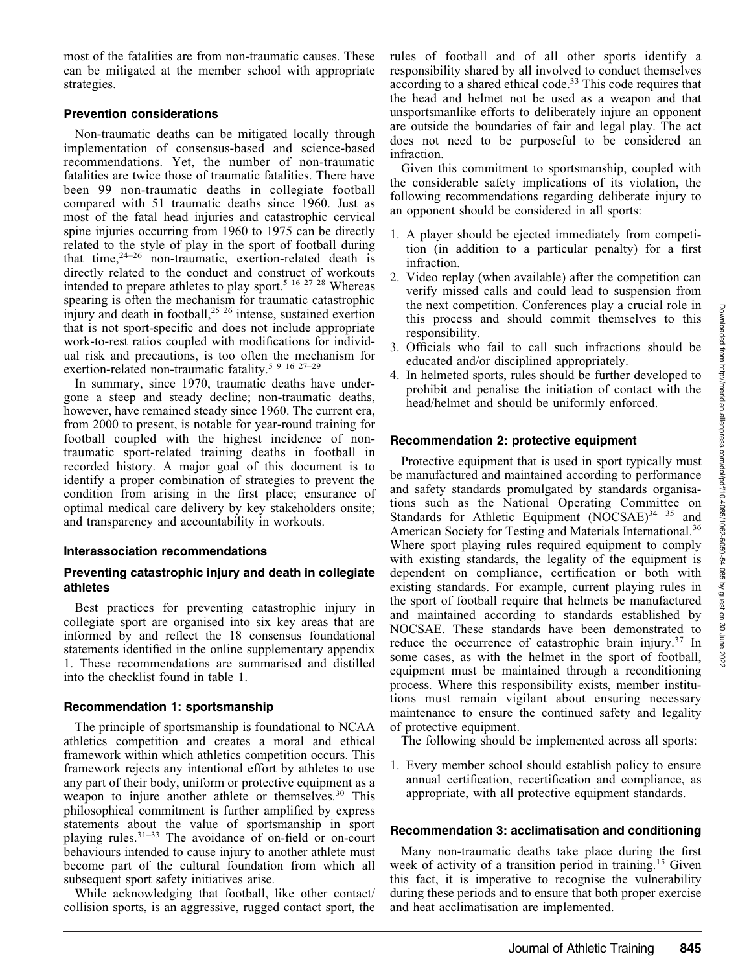most of the fatalities are from non-traumatic causes. These can be mitigated at the member school with appropriate strategies.

## Prevention considerations

Non-traumatic deaths can be mitigated locally through implementation of consensus-based and science-based recommendations. Yet, the number of non-traumatic fatalities are twice those of traumatic fatalities. There have been 99 non-traumatic deaths in collegiate football compared with 51 traumatic deaths since 1960. Just as most of the fatal head injuries and catastrophic cervical spine injuries occurring from 1960 to 1975 can be directly related to the style of play in the sport of football during that time, $24-26$  non-traumatic, exertion-related death is directly related to the conduct and construct of workouts intended to prepare athletes to play sport.<sup>5 16 27 28</sup> Whereas spearing is often the mechanism for traumatic catastrophic injury and death in football, $25 \times 26$  intense, sustained exertion that is not sport-specific and does not include appropriate work-to-rest ratios coupled with modifications for individual risk and precautions, is too often the mechanism for exertion-related non-traumatic fatality.<sup>5</sup> 9 16 27-29

In summary, since 1970, traumatic deaths have undergone a steep and steady decline; non-traumatic deaths, however, have remained steady since 1960. The current era, from 2000 to present, is notable for year-round training for football coupled with the highest incidence of nontraumatic sport-related training deaths in football in recorded history. A major goal of this document is to identify a proper combination of strategies to prevent the condition from arising in the first place; ensurance of optimal medical care delivery by key stakeholders onsite; and transparency and accountability in workouts.

## Interassociation recommendations

## Preventing catastrophic injury and death in collegiate athletes

Best practices for preventing catastrophic injury in collegiate sport are organised into six key areas that are informed by and reflect the 18 consensus foundational statements identified in the online supplementary appendix 1. These recommendations are summarised and distilled into the checklist found in table 1.

## Recommendation 1: sportsmanship

The principle of sportsmanship is foundational to NCAA athletics competition and creates a moral and ethical framework within which athletics competition occurs. This framework rejects any intentional effort by athletes to use any part of their body, uniform or protective equipment as a weapon to injure another athlete or themselves.<sup>30</sup> This philosophical commitment is further amplified by express statements about the value of sportsmanship in sport playing rules.31–33 The avoidance of on-field or on-court behaviours intended to cause injury to another athlete must become part of the cultural foundation from which all subsequent sport safety initiatives arise.

While acknowledging that football, like other contact/ collision sports, is an aggressive, rugged contact sport, the rules of football and of all other sports identify a responsibility shared by all involved to conduct themselves according to a shared ethical code.<sup>33</sup> This code requires that the head and helmet not be used as a weapon and that unsportsmanlike efforts to deliberately injure an opponent are outside the boundaries of fair and legal play. The act does not need to be purposeful to be considered an infraction.

Given this commitment to sportsmanship, coupled with the considerable safety implications of its violation, the following recommendations regarding deliberate injury to an opponent should be considered in all sports:

- 1. A player should be ejected immediately from competition (in addition to a particular penalty) for a first infraction.
- 2. Video replay (when available) after the competition can verify missed calls and could lead to suspension from the next competition. Conferences play a crucial role in this process and should commit themselves to this responsibility.
- 3. Officials who fail to call such infractions should be educated and/or disciplined appropriately.
- 4. In helmeted sports, rules should be further developed to prohibit and penalise the initiation of contact with the head/helmet and should be uniformly enforced.

## Recommendation 2: protective equipment

Protective equipment that is used in sport typically must be manufactured and maintained according to performance and safety standards promulgated by standards organisations such as the National Operating Committee on Standards for Athletic Equipment  $(NOCSAE)^{34}$  35 and American Society for Testing and Materials International.<sup>36</sup> Where sport playing rules required equipment to comply with existing standards, the legality of the equipment is dependent on compliance, certification or both with existing standards. For example, current playing rules in the sport of football require that helmets be manufactured and maintained according to standards established by NOCSAE. These standards have been demonstrated to reduce the occurrence of catastrophic brain injury.<sup>37</sup> In some cases, as with the helmet in the sport of football, equipment must be maintained through a reconditioning process. Where this responsibility exists, member institutions must remain vigilant about ensuring necessary maintenance to ensure the continued safety and legality of protective equipment.

The following should be implemented across all sports:

1. Every member school should establish policy to ensure annual certification, recertification and compliance, as appropriate, with all protective equipment standards.

## Recommendation 3: acclimatisation and conditioning

Many non-traumatic deaths take place during the first week of activity of a transition period in training.<sup>15</sup> Given this fact, it is imperative to recognise the vulnerability during these periods and to ensure that both proper exercise and heat acclimatisation are implemented.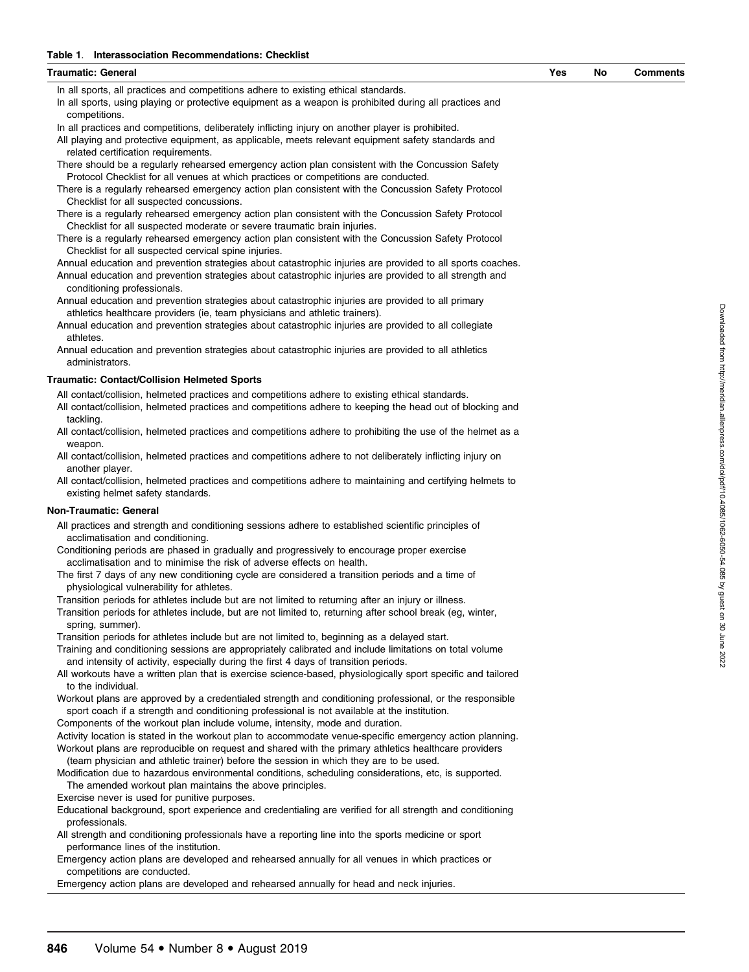#### Table 1. Interassociation Recommendations: Checklist

#### Traumatic: General Yes No Comments

In all sports, all practices and competitions adhere to existing ethical standards.

- In all sports, using playing or protective equipment as a weapon is prohibited during all practices and competitions.
- In all practices and competitions, deliberately inflicting injury on another player is prohibited.
- All playing and protective equipment, as applicable, meets relevant equipment safety standards and related certification requirements.
- There should be a regularly rehearsed emergency action plan consistent with the Concussion Safety Protocol Checklist for all venues at which practices or competitions are conducted.
- There is a regularly rehearsed emergency action plan consistent with the Concussion Safety Protocol Checklist for all suspected concussions.
- There is a regularly rehearsed emergency action plan consistent with the Concussion Safety Protocol Checklist for all suspected moderate or severe traumatic brain injuries.
- There is a regularly rehearsed emergency action plan consistent with the Concussion Safety Protocol Checklist for all suspected cervical spine injuries.
- Annual education and prevention strategies about catastrophic injuries are provided to all sports coaches.
- Annual education and prevention strategies about catastrophic injuries are provided to all strength and conditioning professionals.
- Annual education and prevention strategies about catastrophic injuries are provided to all primary athletics healthcare providers (ie, team physicians and athletic trainers).
- Annual education and prevention strategies about catastrophic injuries are provided to all collegiate athletes.
- Annual education and prevention strategies about catastrophic injuries are provided to all athletics administrators.

#### Traumatic: Contact/Collision Helmeted Sports

All contact/collision, helmeted practices and competitions adhere to existing ethical standards.

- All contact/collision, helmeted practices and competitions adhere to keeping the head out of blocking and tackling.
- All contact/collision, helmeted practices and competitions adhere to prohibiting the use of the helmet as a weapon.
- All contact/collision, helmeted practices and competitions adhere to not deliberately inflicting injury on another player.
- All contact/collision, helmeted practices and competitions adhere to maintaining and certifying helmets to existing helmet safety standards.

#### Non-Traumatic: General

- All practices and strength and conditioning sessions adhere to established scientific principles of acclimatisation and conditioning.
- Conditioning periods are phased in gradually and progressively to encourage proper exercise acclimatisation and to minimise the risk of adverse effects on health.
- The first 7 days of any new conditioning cycle are considered a transition periods and a time of physiological vulnerability for athletes.
- Transition periods for athletes include but are not limited to returning after an injury or illness.
- Transition periods for athletes include, but are not limited to, returning after school break (eg, winter, spring, summer).
- Transition periods for athletes include but are not limited to, beginning as a delayed start.
- Training and conditioning sessions are appropriately calibrated and include limitations on total volume and intensity of activity, especially during the first 4 days of transition periods.
- All workouts have a written plan that is exercise science-based, physiologically sport specific and tailored to the individual.
- Workout plans are approved by a credentialed strength and conditioning professional, or the responsible sport coach if a strength and conditioning professional is not available at the institution.
- Components of the workout plan include volume, intensity, mode and duration.
- Activity location is stated in the workout plan to accommodate venue-specific emergency action planning. Workout plans are reproducible on request and shared with the primary athletics healthcare providers (team physician and athletic trainer) before the session in which they are to be used.
- Modification due to hazardous environmental conditions, scheduling considerations, etc, is supported. The amended workout plan maintains the above principles.
- Exercise never is used for punitive purposes.
- Educational background, sport experience and credentialing are verified for all strength and conditioning professionals.
- All strength and conditioning professionals have a reporting line into the sports medicine or sport performance lines of the institution.
- Emergency action plans are developed and rehearsed annually for all venues in which practices or competitions are conducted.

Emergency action plans are developed and rehearsed annually for head and neck injuries.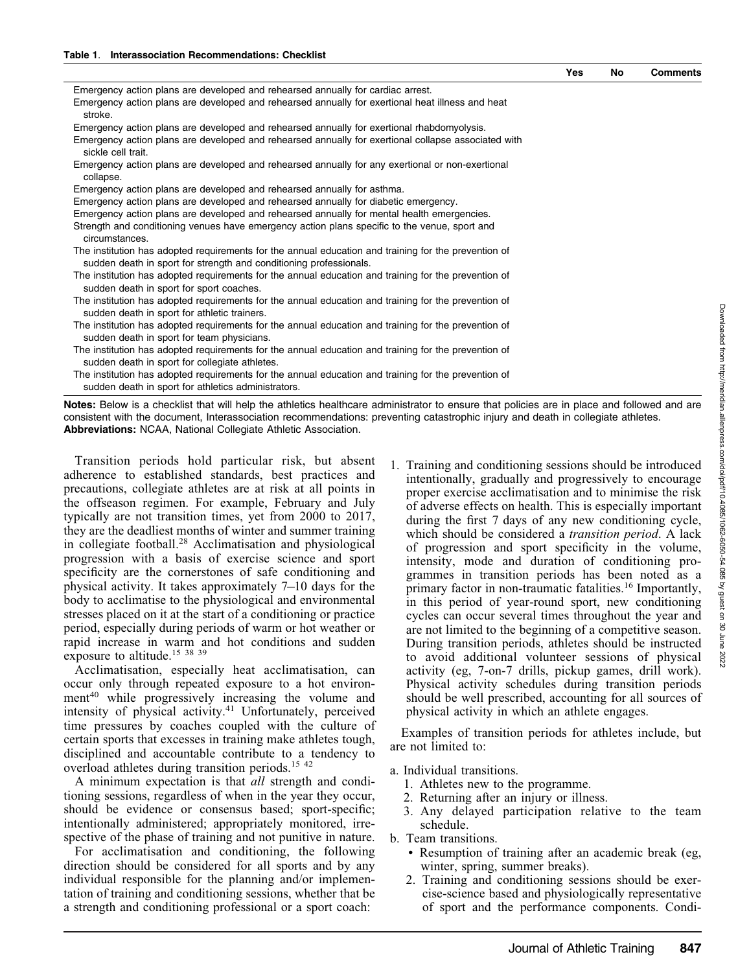| Emergency action plans are developed and rehearsed annually for cardiac arrest.                                                                                            |
|----------------------------------------------------------------------------------------------------------------------------------------------------------------------------|
| Emergency action plans are developed and rehearsed annually for exertional heat illness and heat<br>stroke.                                                                |
| Emergency action plans are developed and rehearsed annually for exertional rhabdomyolysis.                                                                                 |
| Emergency action plans are developed and rehearsed annually for exertional collapse associated with<br>sickle cell trait.                                                  |
| Emergency action plans are developed and rehearsed annually for any exertional or non-exertional<br>collapse.                                                              |
| Emergency action plans are developed and rehearsed annually for asthma.                                                                                                    |
| Emergency action plans are developed and rehearsed annually for diabetic emergency.                                                                                        |
| Emergency action plans are developed and rehearsed annually for mental health emergencies.                                                                                 |
| Strength and conditioning venues have emergency action plans specific to the venue, sport and<br>circumstances.                                                            |
| The institution has adopted requirements for the annual education and training for the prevention of<br>sudden death in sport for strength and conditioning professionals. |
| The institution has adopted requirements for the annual education and training for the prevention of<br>sudden death in sport for sport coaches.                           |
| The institution has adopted requirements for the annual education and training for the prevention of<br>sudden death in sport for athletic trainers.                       |
| The institution has adopted requirements for the annual education and training for the prevention of<br>sudden death in sport for team physicians.                         |
| The institution has adopted requirements for the annual education and training for the prevention of<br>sudden death in sport for collegiate athletes.                     |
| The institution has adopted requirements for the annual education and training for the prevention of<br>sudden death in sport for athletics administrators.                |

consistent with the document, Interassociation recommendations: preventing catastrophic injury and death in collegiate athletes. Abbreviations: NCAA, National Collegiate Athletic Association.

Transition periods hold particular risk, but absent adherence to established standards, best practices and precautions, collegiate athletes are at risk at all points in the offseason regimen. For example, February and July typically are not transition times, yet from 2000 to 2017, they are the deadliest months of winter and summer training in collegiate football.28 Acclimatisation and physiological progression with a basis of exercise science and sport specificity are the cornerstones of safe conditioning and physical activity. It takes approximately 7–10 days for the body to acclimatise to the physiological and environmental stresses placed on it at the start of a conditioning or practice period, especially during periods of warm or hot weather or rapid increase in warm and hot conditions and sudden exposure to altitude.15 38 39

Acclimatisation, especially heat acclimatisation, can occur only through repeated exposure to a hot environment<sup>40</sup> while progressively increasing the volume and intensity of physical activity.<sup>41</sup> Unfortunately, perceived time pressures by coaches coupled with the culture of certain sports that excesses in training make athletes tough, disciplined and accountable contribute to a tendency to overload athletes during transition periods.<sup>15 42</sup>

A minimum expectation is that all strength and conditioning sessions, regardless of when in the year they occur, should be evidence or consensus based; sport-specific; intentionally administered; appropriately monitored, irrespective of the phase of training and not punitive in nature.

For acclimatisation and conditioning, the following direction should be considered for all sports and by any individual responsible for the planning and/or implementation of training and conditioning sessions, whether that be a strength and conditioning professional or a sport coach:

1. Training and conditioning sessions should be introduced intentionally, gradually and progressively to encourage proper exercise acclimatisation and to minimise the risk of adverse effects on health. This is especially important during the first 7 days of any new conditioning cycle, which should be considered a *transition period*. A lack of progression and sport specificity in the volume, intensity, mode and duration of conditioning programmes in transition periods has been noted as a primary factor in non-traumatic fatalities.<sup>16</sup> Importantly, in this period of year-round sport, new conditioning cycles can occur several times throughout the year and are not limited to the beginning of a competitive season. During transition periods, athletes should be instructed to avoid additional volunteer sessions of physical activity (eg, 7-on-7 drills, pickup games, drill work). Physical activity schedules during transition periods should be well prescribed, accounting for all sources of physical activity in which an athlete engages.

Examples of transition periods for athletes include, but are not limited to:

a. Individual transitions.

- 1. Athletes new to the programme.
- 2. Returning after an injury or illness.
- 3. Any delayed participation relative to the team schedule.
- b. Team transitions.
	- Resumption of training after an academic break (eg, winter, spring, summer breaks).
	- 2. Training and conditioning sessions should be exercise-science based and physiologically representative of sport and the performance components. Condi-

Yes No Comments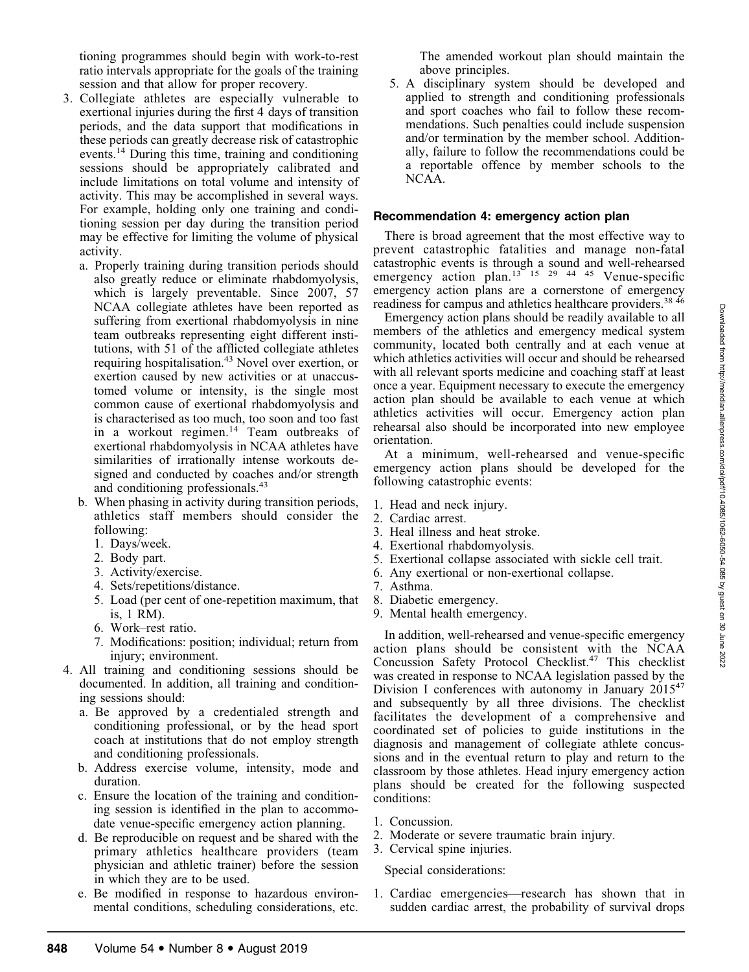tioning programmes should begin with work-to-rest ratio intervals appropriate for the goals of the training session and that allow for proper recovery.

- 3. Collegiate athletes are especially vulnerable to exertional injuries during the first 4 days of transition periods, and the data support that modifications in these periods can greatly decrease risk of catastrophic events.<sup>14</sup> During this time, training and conditioning sessions should be appropriately calibrated and include limitations on total volume and intensity of activity. This may be accomplished in several ways. For example, holding only one training and conditioning session per day during the transition period may be effective for limiting the volume of physical activity.
	- a. Properly training during transition periods should also greatly reduce or eliminate rhabdomyolysis, which is largely preventable. Since 2007, 57 NCAA collegiate athletes have been reported as suffering from exertional rhabdomyolysis in nine team outbreaks representing eight different institutions, with 51 of the afflicted collegiate athletes requiring hospitalisation.<sup>43</sup> Novel over exertion, or exertion caused by new activities or at unaccustomed volume or intensity, is the single most common cause of exertional rhabdomyolysis and is characterised as too much, too soon and too fast in a workout regimen.<sup>14</sup> Team outbreaks of exertional rhabdomyolysis in NCAA athletes have similarities of irrationally intense workouts designed and conducted by coaches and/or strength and conditioning professionals.<sup>43</sup>
	- b. When phasing in activity during transition periods, athletics staff members should consider the following:
		- 1. Days/week.
		- 2. Body part.
		- 3. Activity/exercise.
		- 4. Sets/repetitions/distance.
		- 5. Load (per cent of one-repetition maximum, that is, 1 RM).
		- 6. Work–rest ratio.
		- 7. Modifications: position; individual; return from injury; environment.
- 4. All training and conditioning sessions should be documented. In addition, all training and conditioning sessions should:
	- a. Be approved by a credentialed strength and conditioning professional, or by the head sport coach at institutions that do not employ strength and conditioning professionals.
	- b. Address exercise volume, intensity, mode and duration.
	- c. Ensure the location of the training and conditioning session is identified in the plan to accommodate venue-specific emergency action planning.
	- d. Be reproducible on request and be shared with the primary athletics healthcare providers (team physician and athletic trainer) before the session in which they are to be used.
	- e. Be modified in response to hazardous environmental conditions, scheduling considerations, etc.

The amended workout plan should maintain the above principles.

5. A disciplinary system should be developed and applied to strength and conditioning professionals and sport coaches who fail to follow these recommendations. Such penalties could include suspension and/or termination by the member school. Additionally, failure to follow the recommendations could be a reportable offence by member schools to the NCAA.

### Recommendation 4: emergency action plan

There is broad agreement that the most effective way to prevent catastrophic fatalities and manage non-fatal catastrophic events is through a sound and well-rehearsed emergency action plan.<sup>13</sup> <sup>15</sup> <sup>29</sup> <sup>44</sup> <sup>45</sup> Venue-specific emergency action plans are a cornerstone of emergency readiness for campus and athletics healthcare providers.<sup>38 46</sup>

Emergency action plans should be readily available to all members of the athletics and emergency medical system community, located both centrally and at each venue at which athletics activities will occur and should be rehearsed with all relevant sports medicine and coaching staff at least once a year. Equipment necessary to execute the emergency action plan should be available to each venue at which athletics activities will occur. Emergency action plan rehearsal also should be incorporated into new employee orientation.

At a minimum, well-rehearsed and venue-specific emergency action plans should be developed for the following catastrophic events:

- 1. Head and neck injury.
- 2. Cardiac arrest.
- 3. Heal illness and heat stroke.
- 4. Exertional rhabdomyolysis.
- 5. Exertional collapse associated with sickle cell trait.
- 6. Any exertional or non-exertional collapse.
- 7. Asthma.
- 8. Diabetic emergency.
- 9. Mental health emergency.

In addition, well-rehearsed and venue-specific emergency action plans should be consistent with the NCAA Concussion Safety Protocol Checklist.<sup>47</sup> This checklist was created in response to NCAA legislation passed by the Division I conferences with autonomy in January  $2015^{47}$ and subsequently by all three divisions. The checklist facilitates the development of a comprehensive and coordinated set of policies to guide institutions in the diagnosis and management of collegiate athlete concussions and in the eventual return to play and return to the classroom by those athletes. Head injury emergency action plans should be created for the following suspected conditions:

- 1. Concussion.
- 2. Moderate or severe traumatic brain injury.
- 3. Cervical spine injuries.

Special considerations:

1. Cardiac emergencies—research has shown that in sudden cardiac arrest, the probability of survival drops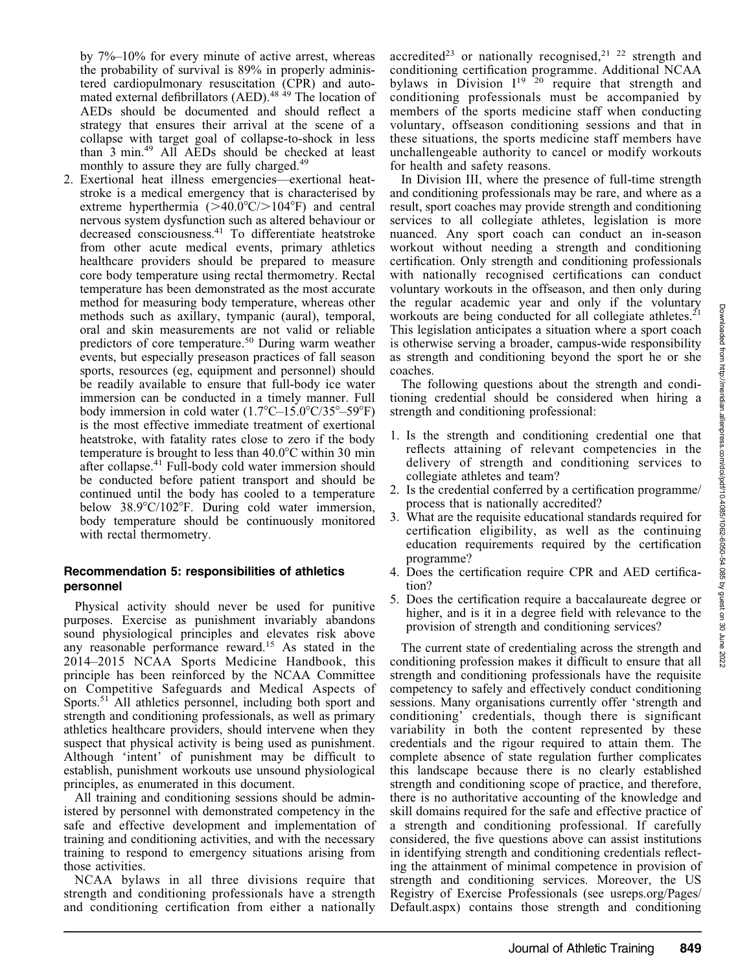by 7%–10% for every minute of active arrest, whereas the probability of survival is 89% in properly administered cardiopulmonary resuscitation (CPR) and automated external defibrillators (AED).<sup>48 49</sup> The location of AEDs should be documented and should reflect a strategy that ensures their arrival at the scene of a collapse with target goal of collapse-to-shock in less than 3 min.49 All AEDs should be checked at least monthly to assure they are fully charged.<sup>49</sup>

2. Exertional heat illness emergencies—exertional heatstroke is a medical emergency that is characterised by extreme hyperthermia  $(>40.0^{\circ}C>/>104^{\circ}F)$  and central nervous system dysfunction such as altered behaviour or decreased consciousness.<sup>41</sup> To differentiate heatstroke from other acute medical events, primary athletics healthcare providers should be prepared to measure core body temperature using rectal thermometry. Rectal temperature has been demonstrated as the most accurate method for measuring body temperature, whereas other methods such as axillary, tympanic (aural), temporal, oral and skin measurements are not valid or reliable predictors of core temperature.<sup>50</sup> During warm weather events, but especially preseason practices of fall season sports, resources (eg, equipment and personnel) should be readily available to ensure that full-body ice water immersion can be conducted in a timely manner. Full body immersion in cold water  $(1.7^{\circ}C - 15.0^{\circ}C/35^{\circ} - 59^{\circ}F)$ is the most effective immediate treatment of exertional heatstroke, with fatality rates close to zero if the body temperature is brought to less than  $40.0^{\circ}$ C within 30 min after collapse.<sup>41</sup> Full-body cold water immersion should be conducted before patient transport and should be continued until the body has cooled to a temperature below  $38.9^{\circ}C/102^{\circ}F$ . During cold water immersion, body temperature should be continuously monitored with rectal thermometry.

## Recommendation 5: responsibilities of athletics personnel

Physical activity should never be used for punitive purposes. Exercise as punishment invariably abandons sound physiological principles and elevates risk above any reasonable performance reward.<sup>15</sup> As stated in the 2014–2015 NCAA Sports Medicine Handbook, this principle has been reinforced by the NCAA Committee on Competitive Safeguards and Medical Aspects of Sports.<sup>51</sup> All athletics personnel, including both sport and strength and conditioning professionals, as well as primary athletics healthcare providers, should intervene when they suspect that physical activity is being used as punishment. Although 'intent' of punishment may be difficult to establish, punishment workouts use unsound physiological principles, as enumerated in this document.

All training and conditioning sessions should be administered by personnel with demonstrated competency in the safe and effective development and implementation of training and conditioning activities, and with the necessary training to respond to emergency situations arising from those activities.

NCAA bylaws in all three divisions require that strength and conditioning professionals have a strength and conditioning certification from either a nationally accredited<sup>23</sup> or nationally recognised,<sup>21</sup> <sup>22</sup> strength and conditioning certification programme. Additional NCAA bylaws in Division  $I^{19}$  <sup>20</sup> require that strength and conditioning professionals must be accompanied by members of the sports medicine staff when conducting voluntary, offseason conditioning sessions and that in these situations, the sports medicine staff members have unchallengeable authority to cancel or modify workouts for health and safety reasons.

In Division III, where the presence of full-time strength and conditioning professionals may be rare, and where as a result, sport coaches may provide strength and conditioning services to all collegiate athletes, legislation is more nuanced. Any sport coach can conduct an in-season workout without needing a strength and conditioning certification. Only strength and conditioning professionals with nationally recognised certifications can conduct voluntary workouts in the offseason, and then only during the regular academic year and only if the voluntary workouts are being conducted for all collegiate athletes. $21$ This legislation anticipates a situation where a sport coach is otherwise serving a broader, campus-wide responsibility as strength and conditioning beyond the sport he or she coaches.

The following questions about the strength and conditioning credential should be considered when hiring a strength and conditioning professional:

- 1. Is the strength and conditioning credential one that reflects attaining of relevant competencies in the delivery of strength and conditioning services to collegiate athletes and team?
- 2. Is the credential conferred by a certification programme/ process that is nationally accredited?
- 3. What are the requisite educational standards required for certification eligibility, as well as the continuing education requirements required by the certification programme?
- 4. Does the certification require CPR and AED certification?
- 5. Does the certification require a baccalaureate degree or higher, and is it in a degree field with relevance to the provision of strength and conditioning services?

The current state of credentialing across the strength and conditioning profession makes it difficult to ensure that all strength and conditioning professionals have the requisite competency to safely and effectively conduct conditioning sessions. Many organisations currently offer 'strength and conditioning' credentials, though there is significant variability in both the content represented by these credentials and the rigour required to attain them. The complete absence of state regulation further complicates this landscape because there is no clearly established strength and conditioning scope of practice, and therefore, there is no authoritative accounting of the knowledge and skill domains required for the safe and effective practice of a strength and conditioning professional. If carefully considered, the five questions above can assist institutions in identifying strength and conditioning credentials reflecting the attainment of minimal competence in provision of strength and conditioning services. Moreover, the US Registry of Exercise Professionals (see usreps.org/Pages/ Default.aspx) contains those strength and conditioning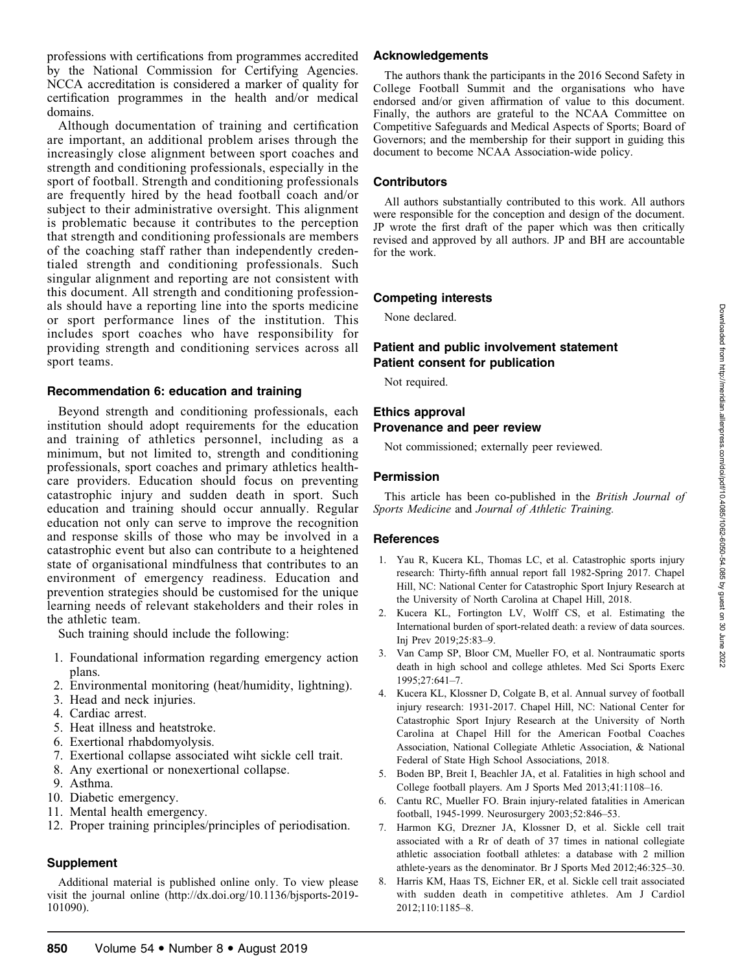professions with certifications from programmes accredited by the National Commission for Certifying Agencies. NCCA accreditation is considered a marker of quality for certification programmes in the health and/or medical domains.

Although documentation of training and certification are important, an additional problem arises through the increasingly close alignment between sport coaches and strength and conditioning professionals, especially in the sport of football. Strength and conditioning professionals are frequently hired by the head football coach and/or subject to their administrative oversight. This alignment is problematic because it contributes to the perception that strength and conditioning professionals are members of the coaching staff rather than independently credentialed strength and conditioning professionals. Such singular alignment and reporting are not consistent with this document. All strength and conditioning professionals should have a reporting line into the sports medicine or sport performance lines of the institution. This includes sport coaches who have responsibility for providing strength and conditioning services across all sport teams.

## Recommendation 6: education and training

Beyond strength and conditioning professionals, each institution should adopt requirements for the education and training of athletics personnel, including as a minimum, but not limited to, strength and conditioning professionals, sport coaches and primary athletics healthcare providers. Education should focus on preventing catastrophic injury and sudden death in sport. Such education and training should occur annually. Regular education not only can serve to improve the recognition and response skills of those who may be involved in a catastrophic event but also can contribute to a heightened state of organisational mindfulness that contributes to an environment of emergency readiness. Education and prevention strategies should be customised for the unique learning needs of relevant stakeholders and their roles in the athletic team.

Such training should include the following:

- 1. Foundational information regarding emergency action plans.
- 2. Environmental monitoring (heat/humidity, lightning).
- 3. Head and neck injuries.
- 4. Cardiac arrest.
- 5. Heat illness and heatstroke.
- 6. Exertional rhabdomyolysis.
- 7. Exertional collapse associated wiht sickle cell trait.
- 8. Any exertional or nonexertional collapse.
- 9. Asthma.
- 10. Diabetic emergency.
- 11. Mental health emergency.
- 12. Proper training principles/principles of periodisation.

## Supplement

Additional material is published online only. To view please visit the journal online (http://dx.doi.org/10.1136/bjsports-2019- 101090).

## Acknowledgements

The authors thank the participants in the 2016 Second Safety in College Football Summit and the organisations who have endorsed and/or given affirmation of value to this document. Finally, the authors are grateful to the NCAA Committee on Competitive Safeguards and Medical Aspects of Sports; Board of Governors; and the membership for their support in guiding this document to become NCAA Association-wide policy.

## **Contributors**

All authors substantially contributed to this work. All authors were responsible for the conception and design of the document. JP wrote the first draft of the paper which was then critically revised and approved by all authors. JP and BH are accountable for the work.

## Competing interests

None declared.

## Patient and public involvement statement Patient consent for publication

Not required.

## Ethics approval Provenance and peer review

Not commissioned; externally peer reviewed.

## Permission

This article has been co-published in the British Journal of Sports Medicine and Journal of Athletic Training.

## **References**

- 1. Yau R, Kucera KL, Thomas LC, et al. Catastrophic sports injury research: Thirty-fifth annual report fall 1982-Spring 2017. Chapel Hill, NC: National Center for Catastrophic Sport Injury Research at the University of North Carolina at Chapel Hill, 2018.
- 2. Kucera KL, Fortington LV, Wolff CS, et al. Estimating the International burden of sport-related death: a review of data sources. Inj Prev 2019;25:83–9.
- 3. Van Camp SP, Bloor CM, Mueller FO, et al. Nontraumatic sports death in high school and college athletes. Med Sci Sports Exerc 1995;27:641–7.
- 4. Kucera KL, Klossner D, Colgate B, et al. Annual survey of football injury research: 1931-2017. Chapel Hill, NC: National Center for Catastrophic Sport Injury Research at the University of North Carolina at Chapel Hill for the American Footbal Coaches Association, National Collegiate Athletic Association, & National Federal of State High School Associations, 2018.
- 5. Boden BP, Breit I, Beachler JA, et al. Fatalities in high school and College football players. Am J Sports Med 2013;41:1108–16.
- 6. Cantu RC, Mueller FO. Brain injury-related fatalities in American football, 1945-1999. Neurosurgery 2003;52:846–53.
- 7. Harmon KG, Drezner JA, Klossner D, et al. Sickle cell trait associated with a Rr of death of 37 times in national collegiate athletic association football athletes: a database with 2 million athlete-years as the denominator. Br J Sports Med 2012;46:325–30.
- 8. Harris KM, Haas TS, Eichner ER, et al. Sickle cell trait associated with sudden death in competitive athletes. Am J Cardiol 2012;110:1185–8.